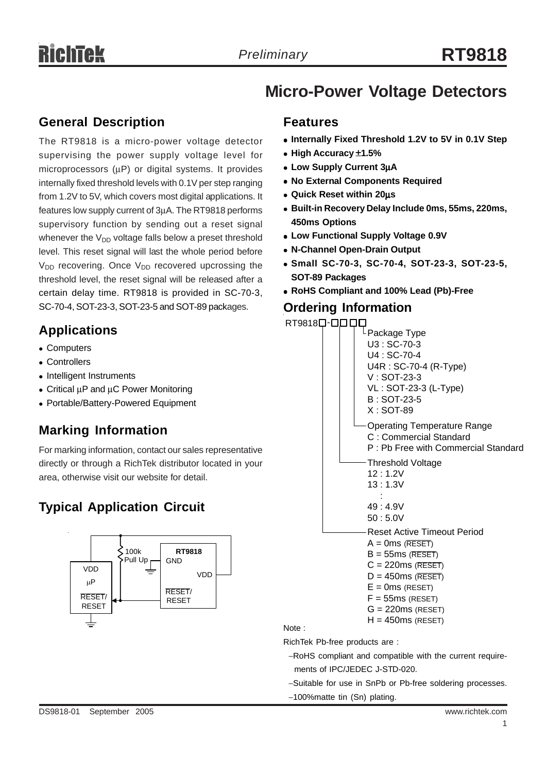# **Micro-Power Voltage Detectors**

### **General Description**

The RT9818 is a micro-power voltage detector supervising the power supply voltage level for microprocessors (μP) or digital systems. It provides internally fixed threshold levels with 0.1V per step ranging from 1.2V to 5V, which covers most digital applications. It features low supply current of 3μA. The RT9818 performs supervisory function by sending out a reset signal whenever the  $V_{DD}$  voltage falls below a preset threshold level. This reset signal will last the whole period before  $V_{DD}$  recovering. Once  $V_{DD}$  recovered upcrossing the threshold level, the reset signal will be released after a certain delay time. RT9818 is provided in SC-70-3, SC-70-4, SOT-23-3, SOT-23-5 and SOT-89 packages.

### **Applications**

- Computers
- Controllers
- Intelligent Instruments
- $\bullet$  Critical  $\mu$ P and  $\mu$ C Power Monitoring
- Portable/Battery-Powered Equipment

### **Marking Information**

For marking information, contact our sales representative directly or through a RichTek distributor located in your area, otherwise visit our website for detail.

## **Typical Application Circuit**



#### **Features**

- **Internally Fixed Threshold 1.2V to 5V in 0.1V Step**
- <sup>z</sup> **High Accuracy** ±**1.5%**
- <sup>z</sup> **Low Supply Current 3**μ**A**
- **No External Components Required**
- <sup>z</sup> **Quick Reset within 20**μ**s**
- <sup>z</sup> **Built-in Recovery Delay Include 0ms, 55ms, 220ms, 450ms Options**
- **Low Functional Supply Voltage 0.9V**
- <sup>z</sup> **N-Channel Open-Drain Output**
- <sup>z</sup> **Small SC-70-3, SC-70-4, SOT-23-3, SOT-23-5, SOT-89 Packages**
- <sup>z</sup> **RoHS Compliant and 100% Lead (Pb)-Free**

#### **Ordering Information**



ments of IPC/JEDEC J-STD-020.

- −Suitable for use in SnPb or Pb-free soldering processes.
- −100%matte tin (Sn) plating.

Note :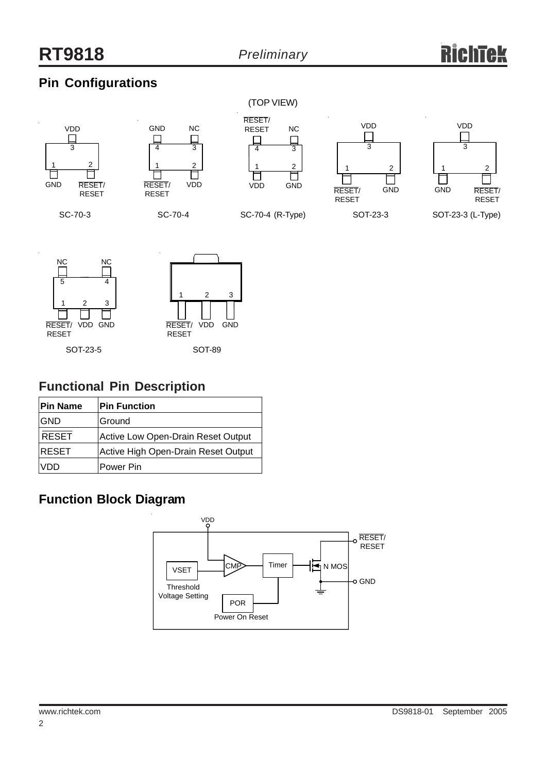## **Pin Configurations**



SC-70-3



SC-70-4



SC-70-4 (R-Type)





SOT-23-3 (L-Type)





### **Functional Pin Description**

| <b>Pin Name</b> | <b>Pin Function</b>                 |
|-----------------|-------------------------------------|
| <b>GND</b>      | <b>Ground</b>                       |
| <b>RESET</b>    | Active Low Open-Drain Reset Output  |
| <b>RESET</b>    | Active High Open-Drain Reset Output |
| VDD             | Power Pin                           |

## **Function Block Diagram**

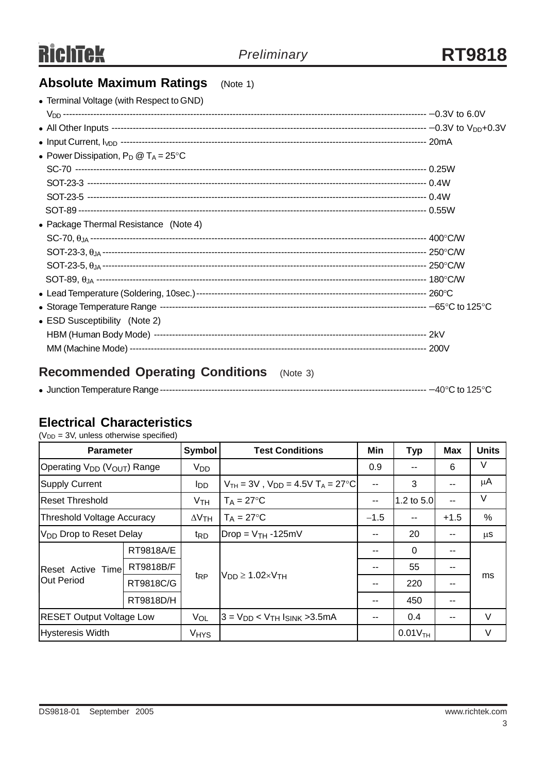# **Absolute Maximum Ratings** (Note 1)

| • Terminal Voltage (with Respect to GND)       |  |
|------------------------------------------------|--|
|                                                |  |
|                                                |  |
|                                                |  |
| • Power Dissipation, $P_D @ T_A = 25^{\circ}C$ |  |
|                                                |  |
|                                                |  |
|                                                |  |
|                                                |  |
| • Package Thermal Resistance (Note 4)          |  |
|                                                |  |
|                                                |  |
|                                                |  |
|                                                |  |
|                                                |  |
|                                                |  |
| • ESD Susceptibility (Note 2)                  |  |
|                                                |  |
|                                                |  |
|                                                |  |

## **Recommended Operating Conditions** (Note 3)

|--|--|--|

### **Electrical Characteristics**

 $(V_{DD} = 3V$ , unless otherwise specified)

| <b>Parameter</b>                                    |           | <b>Symbol</b>          | <b>Test Conditions</b>                               | Min                      | <b>Typ</b>            | <b>Max</b>   | <b>Units</b> |
|-----------------------------------------------------|-----------|------------------------|------------------------------------------------------|--------------------------|-----------------------|--------------|--------------|
| Operating V <sub>DD</sub> (V <sub>OUT</sub> ) Range |           | Vpp                    |                                                      | 0.9                      |                       | 6            | V            |
| <b>Supply Current</b>                               |           | <b>I</b> DD            | $V_{TH}$ = 3V, $V_{DD}$ = 4.5V T <sub>A</sub> = 27°C | $\sim$                   | 3                     |              | μA           |
| <b>Reset Threshold</b>                              |           | V <sub>TH</sub>        | $T_A = 27$ °C                                        | $\overline{\phantom{m}}$ | 1.2 to 5.0            | $\mathbf{u}$ | V            |
| <b>Threshold Voltage Accuracy</b>                   |           | $\Delta V$ TH          | $T_A = 27$ °C                                        | $-1.5$                   |                       | $+1.5$       | %            |
| V <sub>DD</sub> Drop to Reset Delay                 |           | t <sub>RD</sub>        | $Drop = VTH - 125mV$                                 | --                       | 20                    |              | $\mu$ S      |
| <b>Reset Active Timel</b><br>Out Period             | RT9818A/E |                        | $V_{DD} \ge 1.02 \times V_{TH}$                      |                          | $\mathbf{0}$          |              |              |
|                                                     | RT9818B/F |                        |                                                      |                          | 55                    |              |              |
|                                                     | RT9818C/G | <sup>t</sup> RP        |                                                      | --                       | 220                   |              | ms           |
|                                                     | RT9818D/H |                        |                                                      | $-$                      | 450                   | --           |              |
| <b>RESET Output Voltage Low</b>                     |           | VOL                    | $3 = V_{DD} < V_{TH}$ Ising > 3.5 mA                 |                          | 0.4                   |              | V            |
| Hysteresis Width                                    |           | <b>V<sub>HYS</sub></b> |                                                      |                          | $0.01V$ <sub>TH</sub> |              | V            |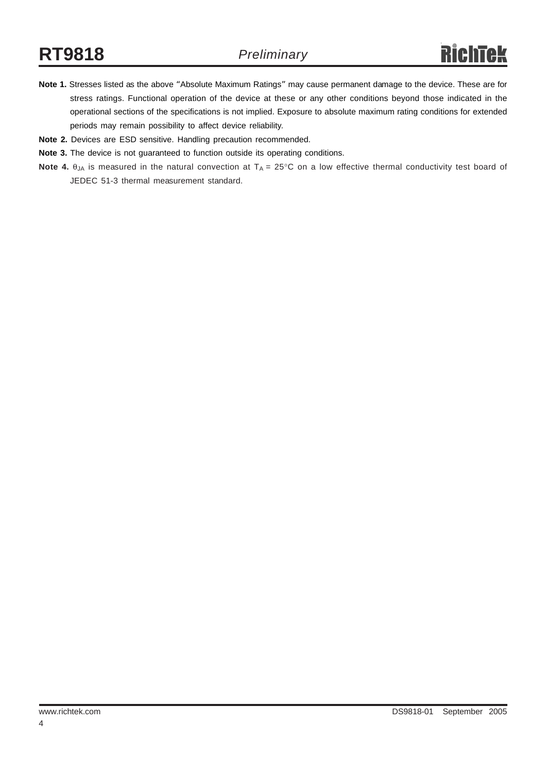- **Note 1.** Stresses listed as the above "Absolute Maximum Ratings" may cause permanent damage to the device. These are for stress ratings. Functional operation of the device at these or any other conditions beyond those indicated in the operational sections of the specifications is not implied. Exposure to absolute maximum rating conditions for extended periods may remain possibility to affect device reliability.
- **Note 2.** Devices are ESD sensitive. Handling precaution recommended.
- **Note 3.** The device is not guaranteed to function outside its operating conditions.
- **Note 4.** θ<sub>JA</sub> is measured in the natural convection at T<sub>A</sub> = 25°C on a low effective thermal conductivity test board of JEDEC 51-3 thermal measurement standard.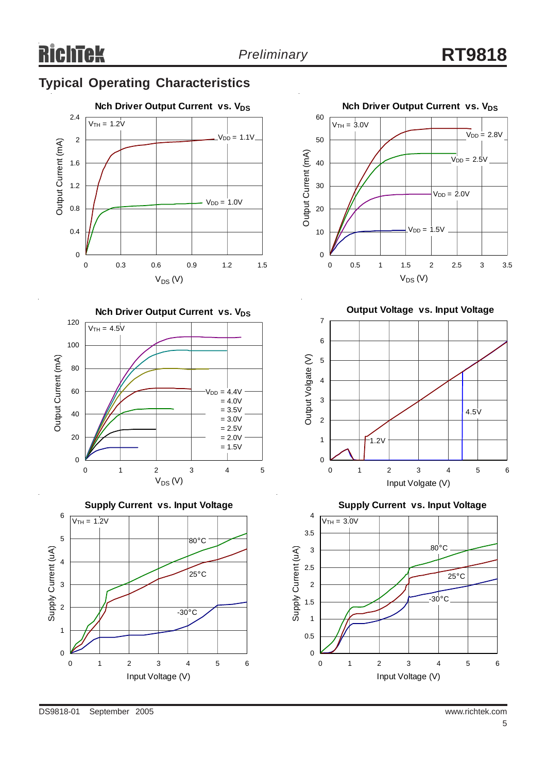## **Typical Operating Characteristics**











**Output Voltage vs. Input Voltage**



**Supply Current vs. Input Voltage**

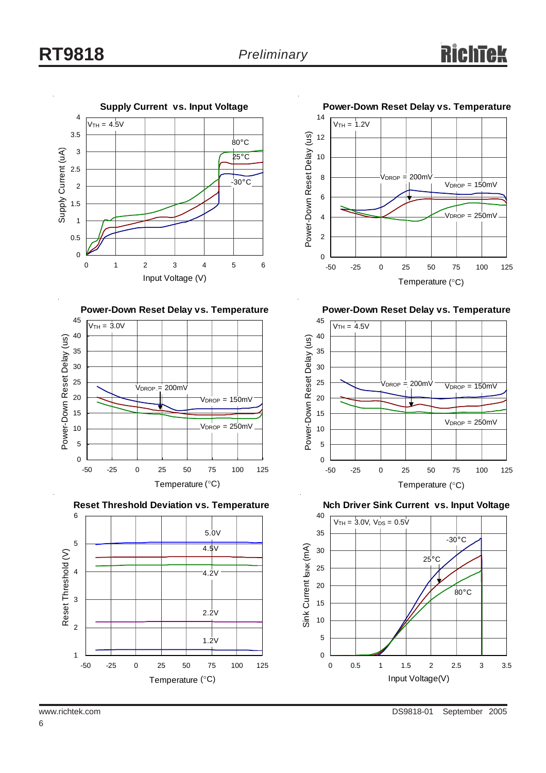











**Power-Down Reset Delay vs. Temperature**



**Nch Driver Sink Current vs. Input Voltage**



6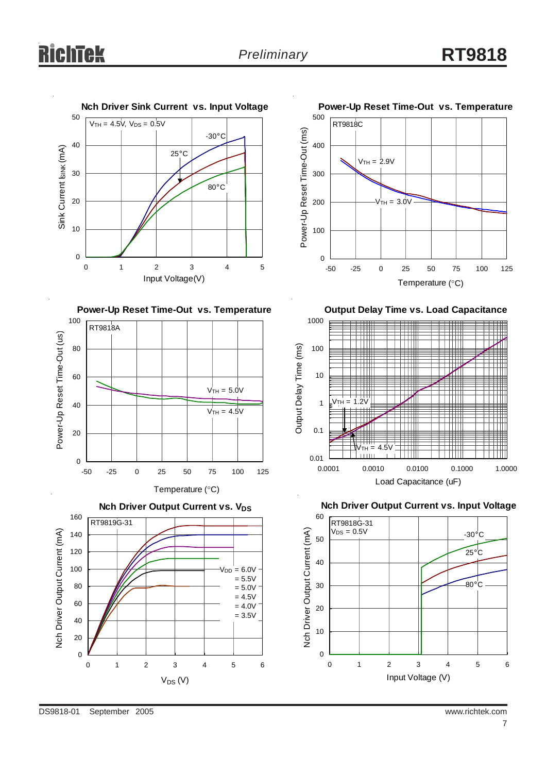











**Output Delay Time vs. Load Capacitance**



**Nch Driver Output Current vs. Input Voltage**

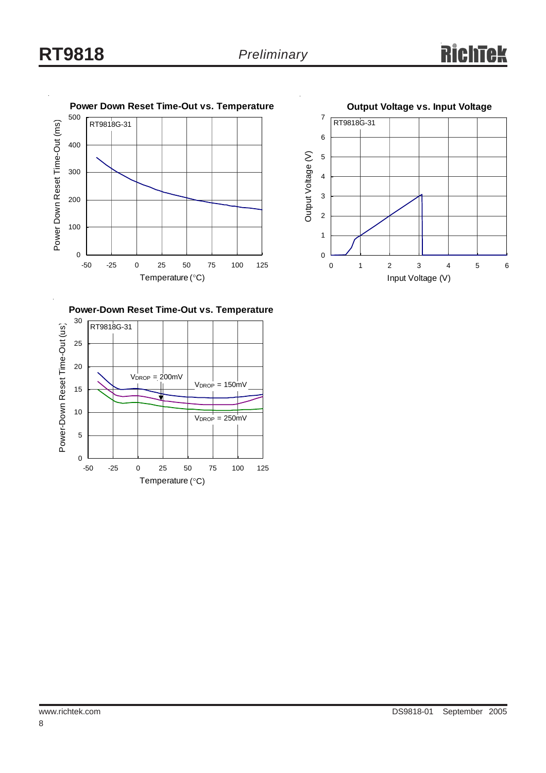



**Power-Down Reset Time-Out vs. Temperature**

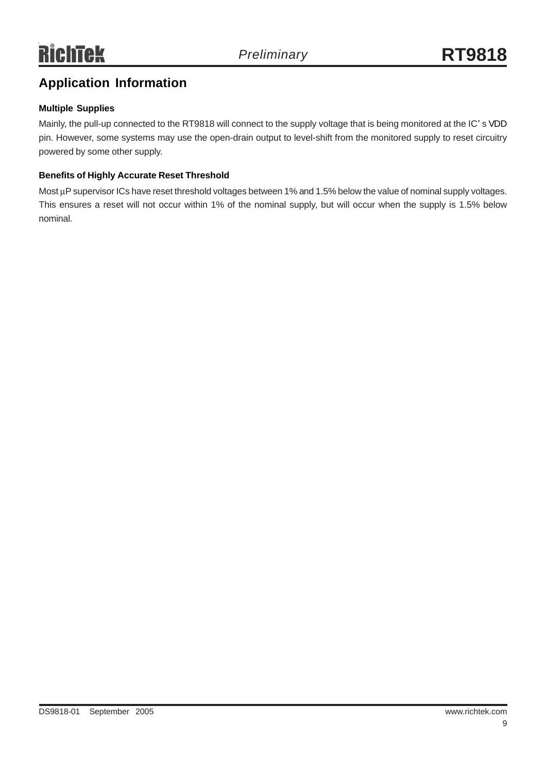## **Application Information**

#### **Multiple Supplies**

Mainly, the pull-up connected to the RT9818 will connect to the supply voltage that is being monitored at the IC' s VDD pin. However, some systems may use the open-drain output to level-shift from the monitored supply to reset circuitry powered by some other supply.

#### **Benefits of Highly Accurate Reset Threshold**

Most μP supervisor ICs have reset threshold voltages between 1% and 1.5% below the value of nominal supply voltages. This ensures a reset will not occur within 1% of the nominal supply, but will occur when the supply is 1.5% below nominal.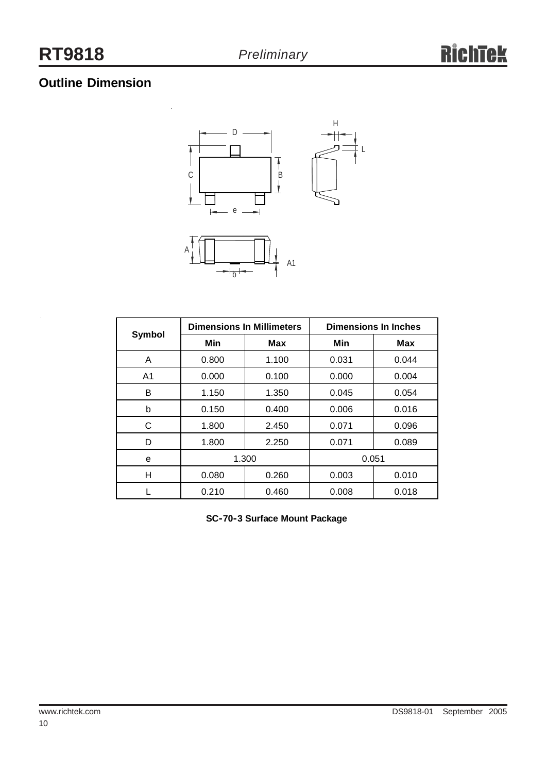## **Outline Dimension**



| <b>Symbol</b>  | <b>Dimensions In Millimeters</b> |            | <b>Dimensions In Inches</b> |            |
|----------------|----------------------------------|------------|-----------------------------|------------|
|                | Min                              | <b>Max</b> | Min                         | <b>Max</b> |
| A              | 0.800                            | 1.100      | 0.031                       | 0.044      |
| A <sub>1</sub> | 0.000                            | 0.100      | 0.000                       | 0.004      |
| в              | 1.150                            | 1.350      | 0.045                       | 0.054      |
| b              | 0.150                            | 0.400      | 0.006                       | 0.016      |
| С              | 1.800                            | 2.450      | 0.071                       | 0.096      |
| D              | 1.800                            | 2.250      | 0.071                       | 0.089      |
| е              | 1.300                            |            | 0.051                       |            |
| н              | 0.080                            | 0.260      | 0.003                       | 0.010      |
|                | 0.210                            | 0.460      | 0.008                       | 0.018      |

**SC-70-3 Surface Mount Package**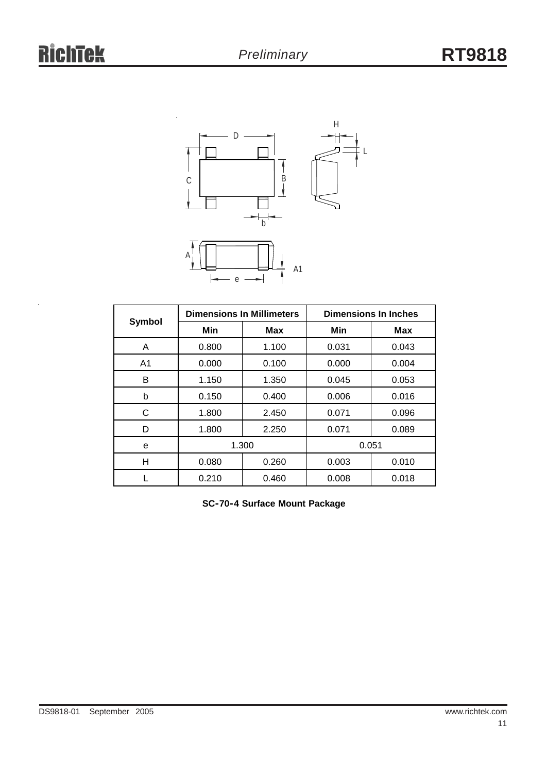

| Symbol         | <b>Dimensions In Millimeters</b> |       | <b>Dimensions In Inches</b> |            |
|----------------|----------------------------------|-------|-----------------------------|------------|
|                | Min                              | Max   | Min                         | <b>Max</b> |
| A              | 0.800                            | 1.100 | 0.031                       | 0.043      |
| A <sub>1</sub> | 0.000                            | 0.100 | 0.000                       | 0.004      |
| B              | 1.150                            | 1.350 | 0.045                       | 0.053      |
| b              | 0.150                            | 0.400 | 0.006                       | 0.016      |
| C              | 1.800                            | 2.450 | 0.071                       | 0.096      |
| D              | 1.800                            | 2.250 | 0.071                       | 0.089      |
| е              | 1.300                            |       | 0.051                       |            |
| Н              | 0.080                            | 0.260 | 0.003                       | 0.010      |
|                | 0.210                            | 0.460 | 0.008                       | 0.018      |

**SC-70-4 Surface Mount Package**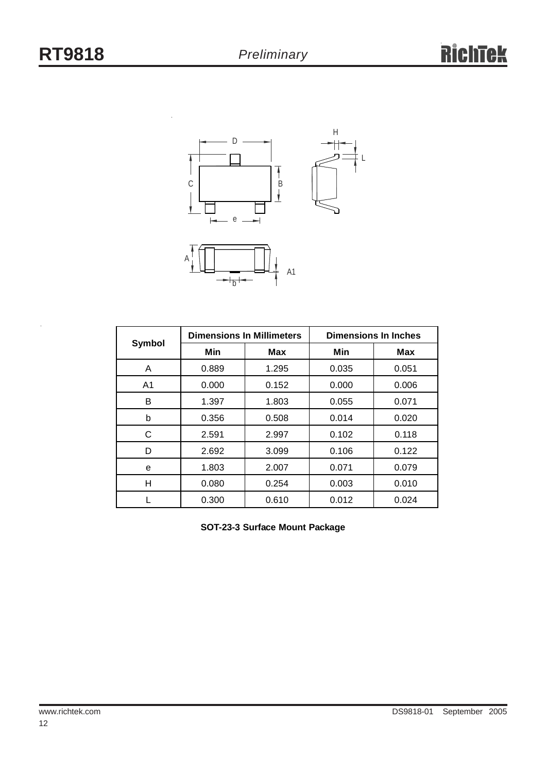

| <b>Symbol</b>  | <b>Dimensions In Millimeters</b> |            | <b>Dimensions In Inches</b> |            |
|----------------|----------------------------------|------------|-----------------------------|------------|
|                | Min                              | <b>Max</b> | Min                         | <b>Max</b> |
| A              | 0.889                            | 1.295      | 0.035                       | 0.051      |
| A <sub>1</sub> | 0.000                            | 0.152      | 0.000                       | 0.006      |
| В              | 1.397                            | 1.803      | 0.055                       | 0.071      |
| b              | 0.356                            | 0.508      | 0.014                       | 0.020      |
| C              | 2.591                            | 2.997      | 0.102                       | 0.118      |
| D              | 2.692                            | 3.099      | 0.106                       | 0.122      |
| е              | 1.803                            | 2.007      | 0.071                       | 0.079      |
| н              | 0.080                            | 0.254      | 0.003                       | 0.010      |
|                | 0.300                            | 0.610      | 0.012                       | 0.024      |

**SOT-23-3 Surface Mount Package**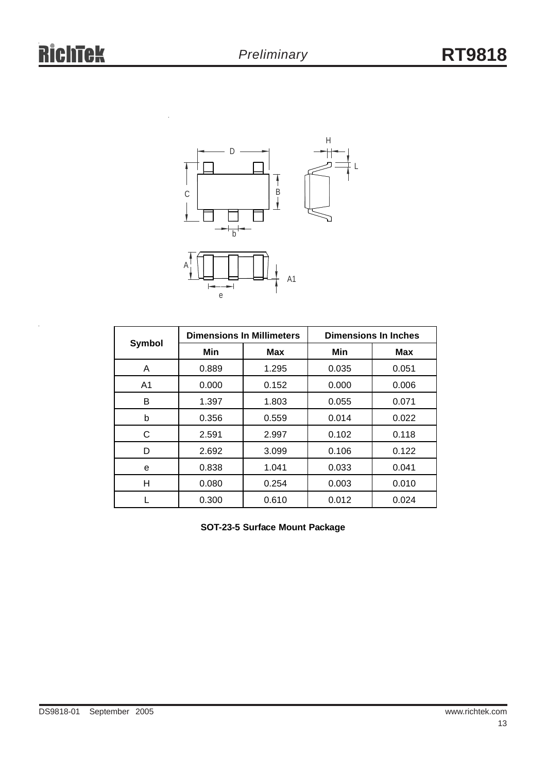

| <b>Symbol</b>  | <b>Dimensions In Millimeters</b> |            | <b>Dimensions In Inches</b> |            |
|----------------|----------------------------------|------------|-----------------------------|------------|
|                | Min                              | <b>Max</b> | Min                         | <b>Max</b> |
| A              | 0.889                            | 1.295      | 0.035                       | 0.051      |
| A <sub>1</sub> | 0.000                            | 0.152      | 0.000                       | 0.006      |
| B              | 1.397                            | 1.803      | 0.055                       | 0.071      |
| b              | 0.356                            | 0.559      | 0.014                       | 0.022      |
| С              | 2.591                            | 2.997      | 0.102                       | 0.118      |
| D              | 2.692                            | 3.099      | 0.106                       | 0.122      |
| е              | 0.838                            | 1.041      | 0.033                       | 0.041      |
| н              | 0.080                            | 0.254      | 0.003                       | 0.010      |
|                | 0.300                            | 0.610      | 0.012                       | 0.024      |

**SOT-23-5 Surface Mount Package**